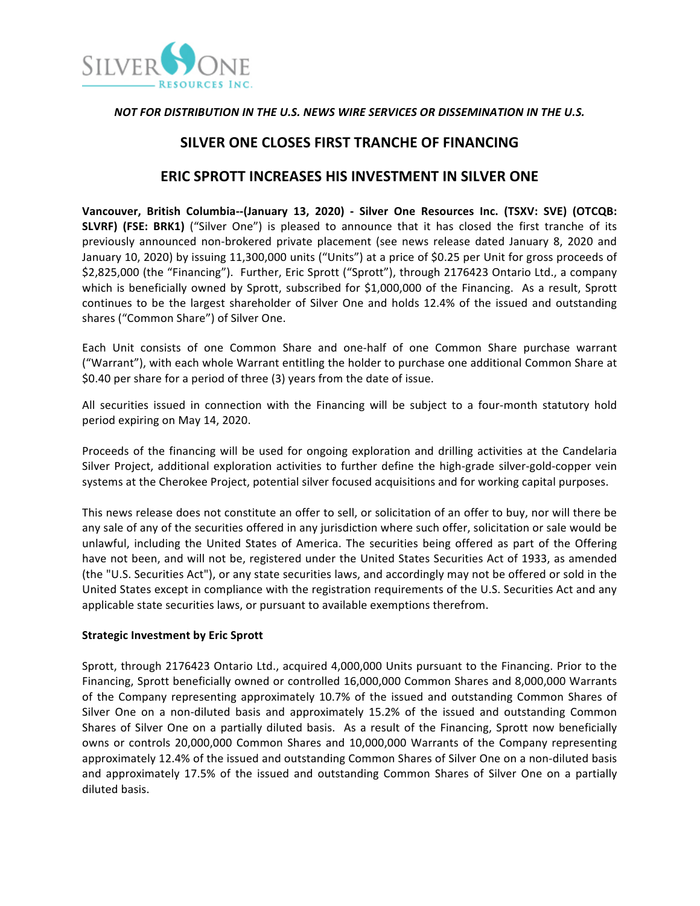

### **NOT FOR DISTRIBUTION IN THE U.S. NEWS WIRE SERVICES OR DISSEMINATION IN THE U.S.**

# **SILVER ONE CLOSES FIRST TRANCHE OF FINANCING**

## **ERIC SPROTT INCREASES HIS INVESTMENT IN SILVER ONE**

**Vancouver, British Columbia--(January 13, 2020) - Silver One Resources Inc. (TSXV: SVE) (OTCQB: SLVRF)** (FSE: BRK1) ("Silver One") is pleased to announce that it has closed the first tranche of its previously announced non-brokered private placement (see news release dated January 8, 2020 and January 10, 2020) by issuing 11,300,000 units ("Units") at a price of \$0.25 per Unit for gross proceeds of \$2,825,000 (the "Financing"). Further, Eric Sprott ("Sprott"), through 2176423 Ontario Ltd., a company which is beneficially owned by Sprott, subscribed for \$1,000,000 of the Financing. As a result, Sprott continues to be the largest shareholder of Silver One and holds 12.4% of the issued and outstanding shares ("Common Share") of Silver One.

Each Unit consists of one Common Share and one-half of one Common Share purchase warrant ("Warrant"), with each whole Warrant entitling the holder to purchase one additional Common Share at \$0.40 per share for a period of three (3) years from the date of issue.

All securities issued in connection with the Financing will be subject to a four-month statutory hold period expiring on May 14, 2020.

Proceeds of the financing will be used for ongoing exploration and drilling activities at the Candelaria Silver Project, additional exploration activities to further define the high-grade silver-gold-copper vein systems at the Cherokee Project, potential silver focused acquisitions and for working capital purposes.

This news release does not constitute an offer to sell, or solicitation of an offer to buy, nor will there be any sale of any of the securities offered in any jurisdiction where such offer, solicitation or sale would be unlawful, including the United States of America. The securities being offered as part of the Offering have not been, and will not be, registered under the United States Securities Act of 1933, as amended (the "U.S. Securities Act"), or any state securities laws, and accordingly may not be offered or sold in the United States except in compliance with the registration requirements of the U.S. Securities Act and any applicable state securities laws, or pursuant to available exemptions therefrom.

### **Strategic Investment by Eric Sprott**

Sprott, through 2176423 Ontario Ltd., acquired 4,000,000 Units pursuant to the Financing. Prior to the Financing, Sprott beneficially owned or controlled 16,000,000 Common Shares and 8,000,000 Warrants of the Company representing approximately 10.7% of the issued and outstanding Common Shares of Silver One on a non-diluted basis and approximately 15.2% of the issued and outstanding Common Shares of Silver One on a partially diluted basis. As a result of the Financing, Sprott now beneficially owns or controls 20,000,000 Common Shares and 10,000,000 Warrants of the Company representing approximately 12.4% of the issued and outstanding Common Shares of Silver One on a non-diluted basis and approximately 17.5% of the issued and outstanding Common Shares of Silver One on a partially diluted basis.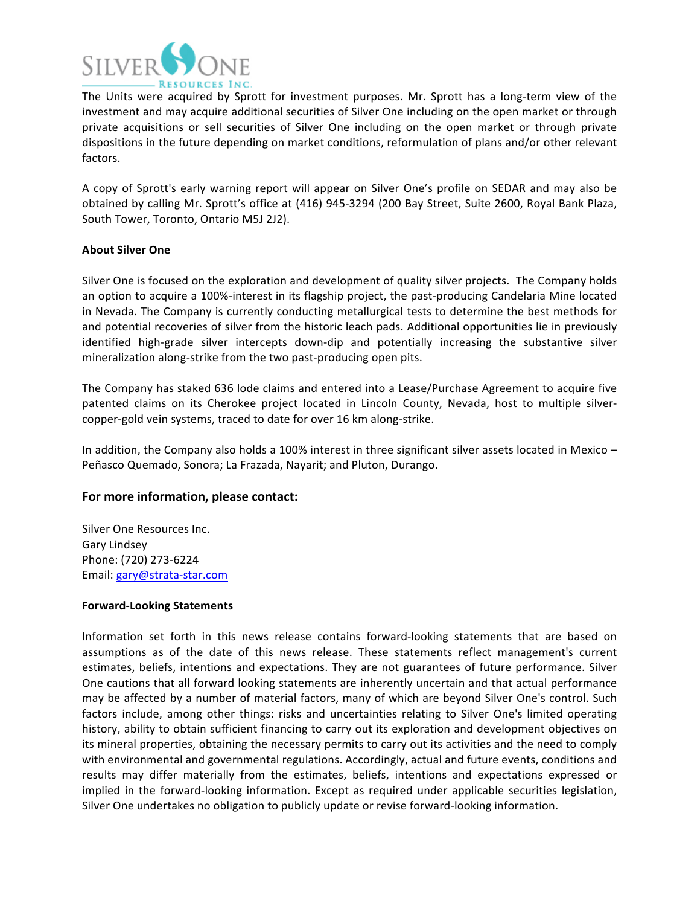

The Units were acquired by Sprott for investment purposes. Mr. Sprott has a long-term view of the investment and may acquire additional securities of Silver One including on the open market or through private acquisitions or sell securities of Silver One including on the open market or through private dispositions in the future depending on market conditions, reformulation of plans and/or other relevant factors. 

A copy of Sprott's early warning report will appear on Silver One's profile on SEDAR and may also be obtained by calling Mr. Sprott's office at (416) 945-3294 (200 Bay Street, Suite 2600, Royal Bank Plaza, South Tower, Toronto, Ontario M5J 2J2).

#### **About Silver One**

Silver One is focused on the exploration and development of quality silver projects. The Company holds an option to acquire a 100%-interest in its flagship project, the past-producing Candelaria Mine located in Nevada. The Company is currently conducting metallurgical tests to determine the best methods for and potential recoveries of silver from the historic leach pads. Additional opportunities lie in previously identified high-grade silver intercepts down-dip and potentially increasing the substantive silver mineralization along-strike from the two past-producing open pits.

The Company has staked 636 lode claims and entered into a Lease/Purchase Agreement to acquire five patented claims on its Cherokee project located in Lincoln County, Nevada, host to multiple silvercopper-gold vein systems, traced to date for over 16 km along-strike.

In addition, the Company also holds a 100% interest in three significant silver assets located in Mexico – Peñasco Quemado, Sonora; La Frazada, Nayarit; and Pluton, Durango.

### For more information, please contact:

Silver One Resources Inc. Gary Lindsey Phone: (720) 273-6224 Email: gary@strata-star.com

#### **Forward-Looking Statements**

Information set forth in this news release contains forward-looking statements that are based on assumptions as of the date of this news release. These statements reflect management's current estimates, beliefs, intentions and expectations. They are not guarantees of future performance. Silver One cautions that all forward looking statements are inherently uncertain and that actual performance may be affected by a number of material factors, many of which are beyond Silver One's control. Such factors include, among other things: risks and uncertainties relating to Silver One's limited operating history, ability to obtain sufficient financing to carry out its exploration and development objectives on its mineral properties, obtaining the necessary permits to carry out its activities and the need to comply with environmental and governmental regulations. Accordingly, actual and future events, conditions and results may differ materially from the estimates, beliefs, intentions and expectations expressed or implied in the forward-looking information. Except as required under applicable securities legislation, Silver One undertakes no obligation to publicly update or revise forward-looking information.